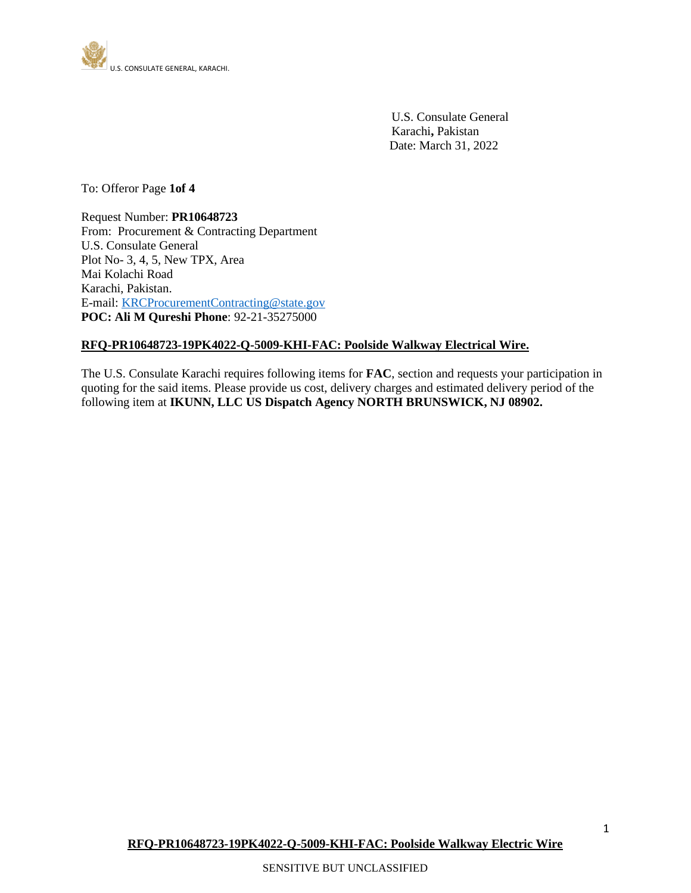

 U.S. Consulate General Karachi**,** Pakistan Date: March 31, 2022

To: Offeror Page **1of 4**

Request Number: **PR10648723** From: Procurement & Contracting Department U.S. Consulate General Plot No- 3, 4, 5, New TPX, Area Mai Kolachi Road Karachi, Pakistan. E-mail[: KRCProcurementContracting@state.gov](mailto:KRCProcurementContracting@state.gov) **POC: Ali M Qureshi Phone**: 92-21-35275000

## **RFQ-PR10648723-19PK4022-Q-5009-KHI-FAC: Poolside Walkway Electrical Wire.**

The U.S. Consulate Karachi requires following items for **FAC**, section and requests your participation in quoting for the said items. Please provide us cost, delivery charges and estimated delivery period of the following item at **IKUNN, LLC US Dispatch Agency NORTH BRUNSWICK, NJ 08902.**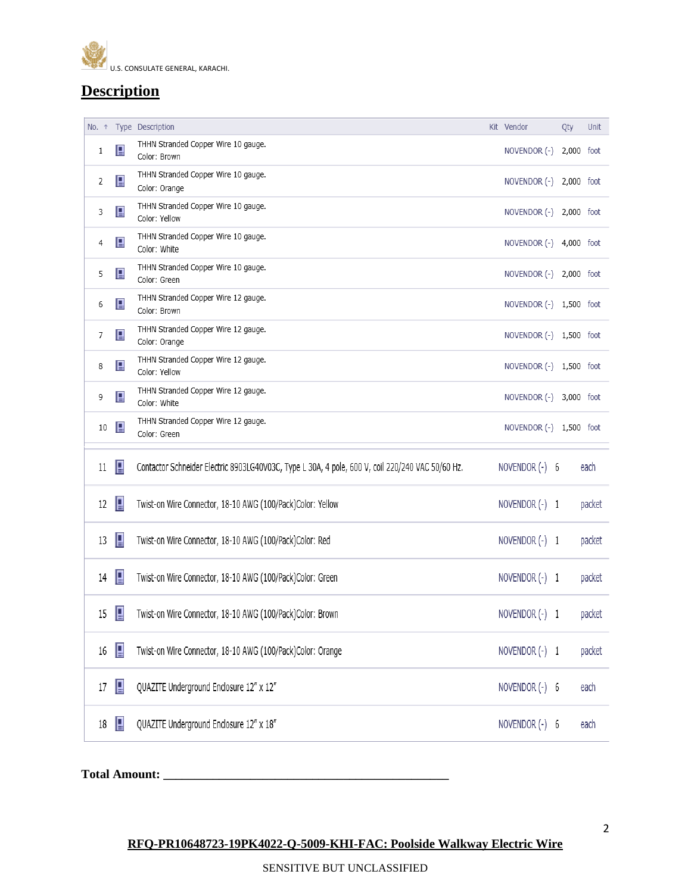

# **Description**

| No. 1 |              | Type Description                                                                                 | Kit Vendor              | Qty | Unit   |
|-------|--------------|--------------------------------------------------------------------------------------------------|-------------------------|-----|--------|
| 1     | $\mathbf{p}$ | THHN Stranded Copper Wire 10 gauge.<br>Color: Brown                                              | NOVENDOR (-) 2,000 foot |     |        |
| 2     | 目            | THHN Stranded Copper Wire 10 gauge.<br>Color: Orange                                             | NOVENDOR (-) 2,000 foot |     |        |
| 3     | 目            | THHN Stranded Copper Wire 10 gauge.<br>Color: Yellow                                             | NOVENDOR (-) 2,000 foot |     |        |
| 4     | 目            | THHN Stranded Copper Wire 10 gauge.<br>Color: White                                              | NOVENDOR (-) 4,000 foot |     |        |
| 5     | 目            | THHN Stranded Copper Wire 10 gauge.<br>Color: Green                                              | NOVENDOR (-) 2,000 foot |     |        |
| 6     | 目            | THHN Stranded Copper Wire 12 gauge.<br>Color: Brown                                              | NOVENDOR (-) 1,500 foot |     |        |
| 7     | 目            | THHN Stranded Copper Wire 12 gauge.<br>Color: Orange                                             | NOVENDOR (-) 1,500 foot |     |        |
| 8     | 目            | THHN Stranded Copper Wire 12 gauge.<br>Color: Yellow                                             | NOVENDOR (-) 1,500 foot |     |        |
| 9     | 目            | THHN Stranded Copper Wire 12 gauge.<br>Color: White                                              | NOVENDOR (-) 3,000 foot |     |        |
| 10    | 目            | THHN Stranded Copper Wire 12 gauge.<br>Color: Green                                              | NOVENDOR (-) 1,500 foot |     |        |
| 11    | В            | Contactor Schneider Electric 8903LG40V03C, Type L 30A, 4 pole, 600 V, coil 220/240 VAC 50/60 Hz. | NOVENDOR (-) 6          |     | each   |
| 12    | 目            | Twist-on Wire Connector, 18-10 AWG (100/Pack)Color: Yellow                                       | NOVENDOR (-) 1          |     | packet |
| 13    | 目            | Twist-on Wire Connector, 18-10 AWG (100/Pack)Color: Red                                          | NOVENDOR (-) 1          |     | packet |
| 14    | 目            | Twist-on Wire Connector, 18-10 AWG (100/Pack)Color: Green                                        | NOVENDOR (-) 1          |     | packet |
| 15    | 目            | Twist-on Wire Connector, 18-10 AWG (100/Pack)Color: Brown                                        | NOVENDOR (-) 1          |     | packet |
| 16    | 目            | Twist-on Wire Connector, 18-10 AWG (100/Pack)Color: Orange                                       | NOVENDOR (-) 1          |     | packet |
| 17    | 目            | QUAZITE Underground Enclosure 12" x 12"                                                          | NOVENDOR (-) 6          |     | each   |
| 18    | П            | QUAZITE Underground Enclosure 12" x 18"                                                          | NOVENDOR (-) 6          |     | each   |
|       |              |                                                                                                  |                         |     |        |

**Total Amount: \_\_\_\_\_\_\_\_\_\_\_\_\_\_\_\_\_\_\_\_\_\_\_\_\_\_\_\_\_\_\_\_\_\_\_\_\_\_\_\_\_\_\_\_\_\_**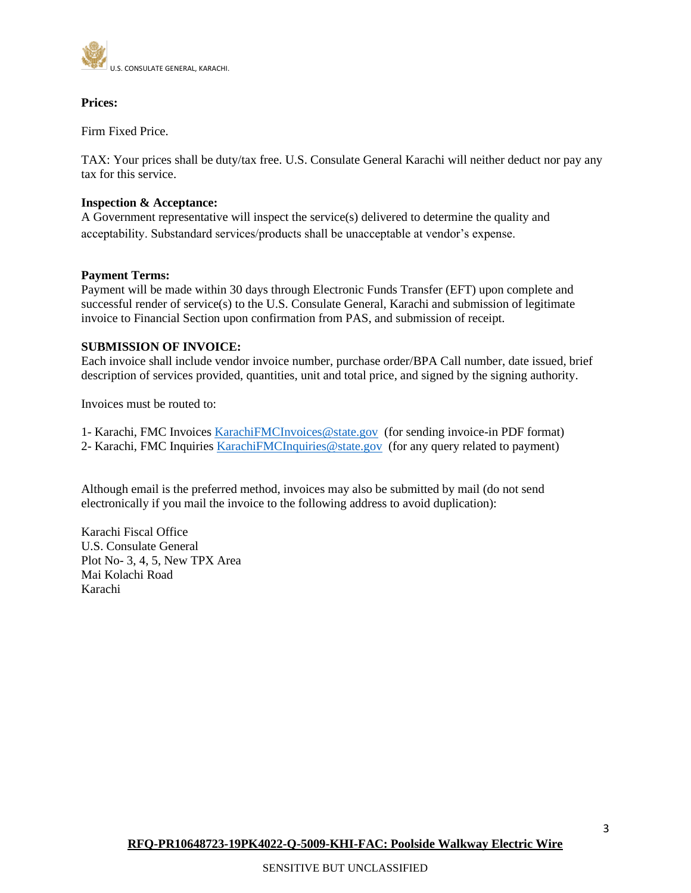

### **Prices:**

Firm Fixed Price.

TAX: Your prices shall be duty/tax free. U.S. Consulate General Karachi will neither deduct nor pay any tax for this service.

#### **Inspection & Acceptance:**

A Government representative will inspect the service(s) delivered to determine the quality and acceptability. Substandard services/products shall be unacceptable at vendor's expense.

### **Payment Terms:**

Payment will be made within 30 days through Electronic Funds Transfer (EFT) upon complete and successful render of service(s) to the U.S. Consulate General, Karachi and submission of legitimate invoice to Financial Section upon confirmation from PAS, and submission of receipt.

### **SUBMISSION OF INVOICE:**

Each invoice shall include vendor invoice number, purchase order/BPA Call number, date issued, brief description of services provided, quantities, unit and total price, and signed by the signing authority.

Invoices must be routed to:

- 1- Karachi, FMC Invoices [KarachiFMCInvoices@state.gov](mailto:KarachiFMCInvoices@state.gov) (for sending invoice-in PDF format)
- 2- Karachi, FMC Inquiries [KarachiFMCInquiries@state.gov](mailto:KarachiFMCInquiries@state.gov) (for any query related to payment)

Although email is the preferred method, invoices may also be submitted by mail (do not send electronically if you mail the invoice to the following address to avoid duplication):

Karachi Fiscal Office U.S. Consulate General Plot No- 3, 4, 5, New TPX Area Mai Kolachi Road Karachi

3